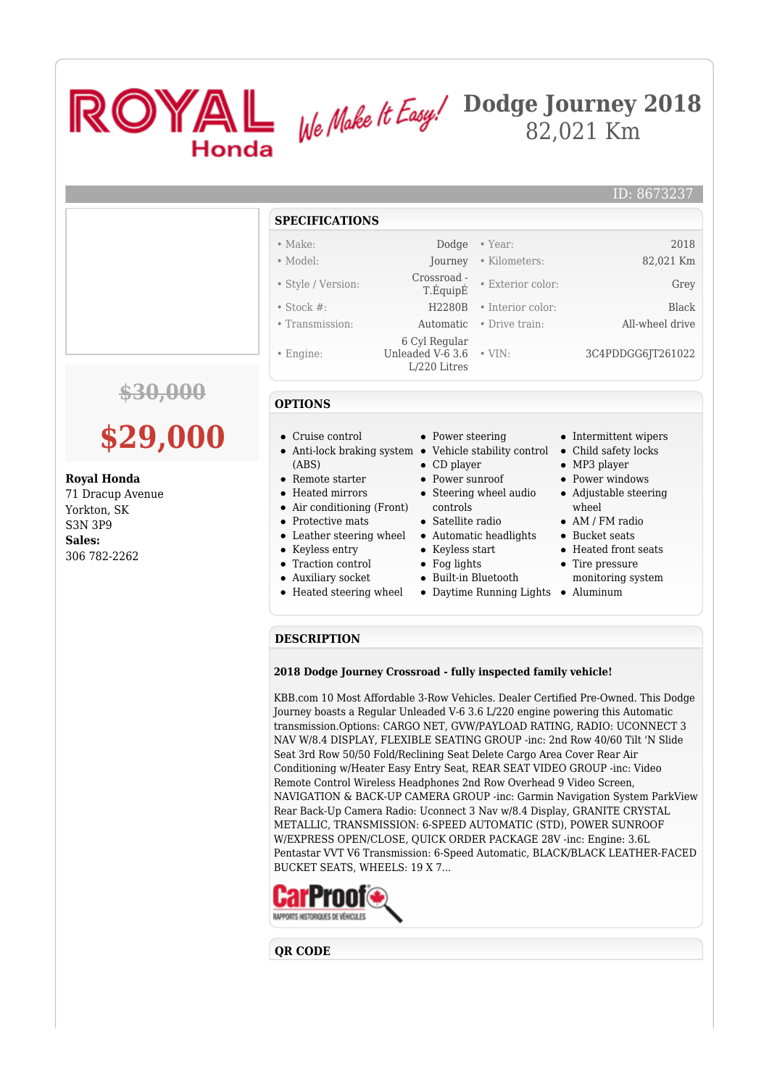## ROYAL We Make It Easy.<sup>/Dodge</sup> Journey 2018 82,021 Km Honda ID: 8673237 **SPECIFICATIONS** • Make: Dodge • Year: 2018 • Model: Journey • Kilometers: 82,021 Km • Style / Version: Crossroad - • Exterior color: Grey • Stock #: H2280B • Interior color: Black • Transmission: Automatic • Drive train: All-wheel drive 6 Cyl Regular Unleaded V-6 3.6 • VIN: • VIN: 3C4PDDGG6JT261022 • Engine: L/220 Litres **\$30,000 OPTIONS \$29,000** Cruise control • Power steering • Intermittent wipers Anti-lock braking system Vehicle stability control Child safety locks (ABS) • CD player • MP3 player **Royal Honda** • Remote starter Power sunroof • Power windows 71 Dracup Avenue Heated mirrors • Steering wheel audio Adjustable steering • Air conditioning (Front) controls wheel Yorkton, SK • Protective mats Satellite radio AM / FM radio S3N 3P9 • Bucket seats Leather steering wheel • Automatic headlights

**Sales:** 306 782-2262

- 
- Keyless entry
- Traction control
- Auxiliary socket
- 
- Keyless start
- Fog lights
- Built-in Bluetooth
- 
- Heated steering wheel Daytime Running Lights Aluminum
- Heated front seats
- Tire pressure monitoring system
- 

## **DESCRIPTION**

## **2018 Dodge Journey Crossroad - fully inspected family vehicle!**

KBB.com 10 Most Affordable 3-Row Vehicles. Dealer Certified Pre-Owned. This Dodge Journey boasts a Regular Unleaded V-6 3.6 L/220 engine powering this Automatic transmission.Options: CARGO NET, GVW/PAYLOAD RATING, RADIO: UCONNECT 3 NAV W/8.4 DISPLAY, FLEXIBLE SEATING GROUP -inc: 2nd Row 40/60 Tilt 'N Slide Seat 3rd Row 50/50 Fold/Reclining Seat Delete Cargo Area Cover Rear Air Conditioning w/Heater Easy Entry Seat, REAR SEAT VIDEO GROUP -inc: Video Remote Control Wireless Headphones 2nd Row Overhead 9 Video Screen, NAVIGATION & BACK-UP CAMERA GROUP -inc: Garmin Navigation System ParkView Rear Back-Up Camera Radio: Uconnect 3 Nav w/8.4 Display, GRANITE CRYSTAL METALLIC, TRANSMISSION: 6-SPEED AUTOMATIC (STD), POWER SUNROOF W/EXPRESS OPEN/CLOSE, QUICK ORDER PACKAGE 28V -inc: Engine: 3.6L Pentastar VVT V6 Transmission: 6-Speed Automatic, BLACK/BLACK LEATHER-FACED BUCKET SEATS, WHEELS: 19 X 7...



## **QR CODE**